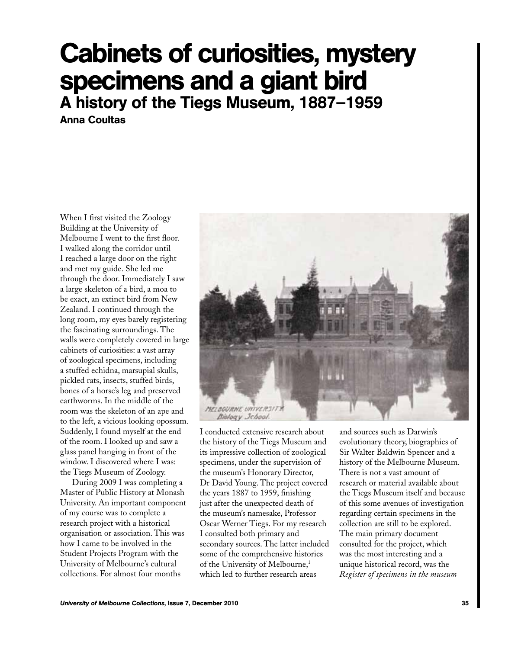# Cabinets of curiosities, mystery specimens and a giant bird A history of the Tiegs Museum, 1887–1959

Anna Coultas

When I first visited the Zoology Building at the University of Melbourne I went to the first floor. I walked along the corridor until I reached a large door on the right and met my guide. She led me through the door. Immediately I saw a large skeleton of a bird, a moa to be exact, an extinct bird from New Zealand. I continued through the long room, my eyes barely registering the fascinating surroundings. The walls were completely covered in large cabinets of curiosities: a vast array of zoological specimens, including a stuffed echidna, marsupial skulls, pickled rats, insects, stuffed birds, bones of a horse's leg and preserved earthworms. In the middle of the room was the skeleton of an ape and to the left, a vicious looking opossum. Suddenly, I found myself at the end of the room. I looked up and saw a glass panel hanging in front of the window. I discovered where I was: the Tiegs Museum of Zoology.

During 2009 I was completing a Master of Public History at Monash University. An important component of my course was to complete a research project with a historical organisation or association. This was how I came to be involved in the Student Projects Program with the University of Melbourne's cultural collections. For almost four months



I conducted extensive research about the history of the Tiegs Museum and its impressive collection of zoological specimens, under the supervision of the museum's Honorary Director, Dr David Young. The project covered the years 1887 to 1959, finishing just after the unexpected death of the museum's namesake, Professor Oscar Werner Tiegs. For my research I consulted both primary and secondary sources. The latter included some of the comprehensive histories of the University of Melbourne,<sup>1</sup> which led to further research areas

and sources such as Darwin's evolutionary theory, biographies of Sir Walter Baldwin Spencer and a history of the Melbourne Museum. There is not a vast amount of research or material available about the Tiegs Museum itself and because of this some avenues of investigation regarding certain specimens in the collection are still to be explored. The main primary document consulted for the project, which was the most interesting and a unique historical record, was the *Register of specimens in the museum*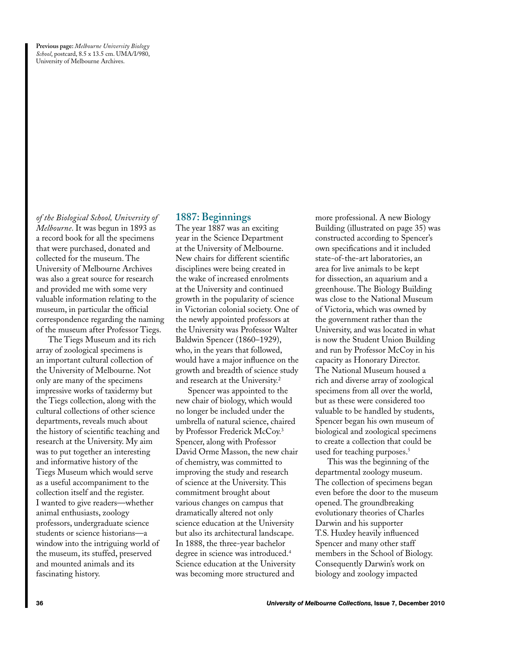**Previous page:** *Melbourne University Biology School*, postcard, 8.5 x 13.5 cm. UMA/I/980, University of Melbourne Archives.

*of the Biological School, University of Melbourne*. It was begun in 1893 as a record book for all the specimens that were purchased, donated and collected for the museum. The University of Melbourne Archives was also a great source for research and provided me with some very valuable information relating to the museum, in particular the official correspondence regarding the naming of the museum after Professor Tiegs.

The Tiegs Museum and its rich array of zoological specimens is an important cultural collection of the University of Melbourne. Not only are many of the specimens impressive works of taxidermy but the Tiegs collection, along with the cultural collections of other science departments, reveals much about the history of scientific teaching and research at the University. My aim was to put together an interesting and informative history of the Tiegs Museum which would serve as a useful accompaniment to the collection itself and the register. I wanted to give readers—whether animal enthusiasts, zoology professors, undergraduate science students or science historians—a window into the intriguing world of the museum, its stuffed, preserved and mounted animals and its fascinating history.

### **1887: Beginnings**

The year 1887 was an exciting year in the Science Department at the University of Melbourne. New chairs for different scientific disciplines were being created in the wake of increased enrolments at the University and continued growth in the popularity of science in Victorian colonial society. One of the newly appointed professors at the University was Professor Walter Baldwin Spencer (1860–1929), who, in the years that followed, would have a major influence on the growth and breadth of science study and research at the University.2

Spencer was appointed to the new chair of biology, which would no longer be included under the umbrella of natural science, chaired by Professor Frederick McCoy.<sup>3</sup> Spencer, along with Professor David Orme Masson, the new chair of chemistry, was committed to improving the study and research of science at the University. This commitment brought about various changes on campus that dramatically altered not only science education at the University but also its architectural landscape. In 1888, the three-year bachelor degree in science was introduced.<sup>4</sup> Science education at the University was becoming more structured and

more professional. A new Biology Building (illustrated on page 35) was constructed according to Spencer's own specifications and it included state-of-the-art laboratories, an area for live animals to be kept for dissection, an aquarium and a greenhouse. The Biology Building was close to the National Museum of Victoria, which was owned by the government rather than the University, and was located in what is now the Student Union Building and run by Professor McCoy in his capacity as Honorary Director. The National Museum housed a rich and diverse array of zoological specimens from all over the world, but as these were considered too valuable to be handled by students, Spencer began his own museum of biological and zoological specimens to create a collection that could be used for teaching purposes.<sup>5</sup>

This was the beginning of the departmental zoology museum. The collection of specimens began even before the door to the museum opened. The groundbreaking evolutionary theories of Charles Darwin and his supporter T.S. Huxley heavily influenced Spencer and many other staff members in the School of Biology. Consequently Darwin's work on biology and zoology impacted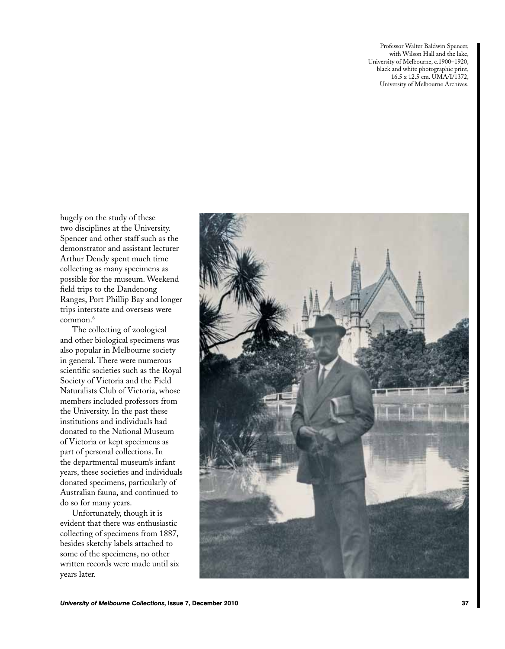Professor Walter Baldwin Spencer, with Wilson Hall and the lake, University of Melbourne, c.1900–1920, black and white photographic print, 16.5 x 12.5 cm. UMA/I/1372, University of Melbourne Archives.

hugely on the study of these two disciplines at the University. Spencer and other staff such as the demonstrator and assistant lecturer Arthur Dendy spent much time collecting as many specimens as possible for the museum. Weekend field trips to the Dandenong Ranges, Port Phillip Bay and longer trips interstate and overseas were common.<sup>6</sup>

The collecting of zoological and other biological specimens was also popular in Melbourne society in general. There were numerous scientific societies such as the Royal Society of Victoria and the Field Naturalists Club of Victoria, whose members included professors from the University. In the past these institutions and individuals had donated to the National Museum of Victoria or kept specimens as part of personal collections. In the departmental museum's infant years, these societies and individuals donated specimens, particularly of Australian fauna, and continued to do so for many years.

Unfortunately, though it is evident that there was enthusiastic collecting of specimens from 1887, besides sketchy labels attached to some of the specimens, no other written records were made until six years later.

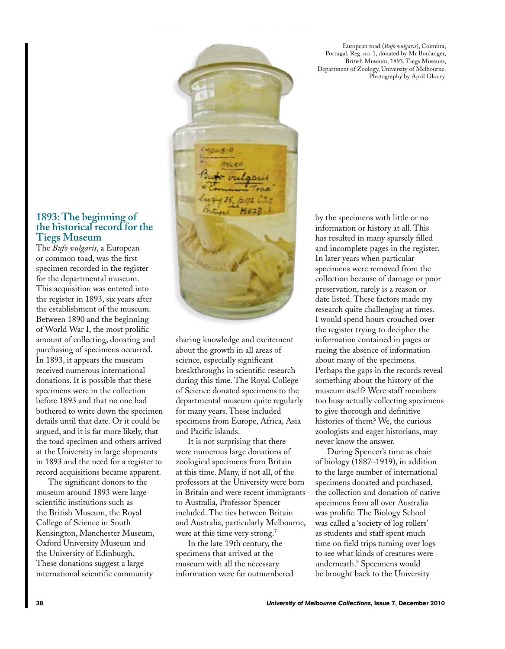European toad (*Bufo vulgaris*), Coimbra, Portugal. Reg. no. 1, donated by Mr Boulanger, British Museum, 1893, Tiegs Museum, Department of Zoology, University of Melbourne. Photography by April Gloury.

### **1893: The beginning of the historical record for the Tiegs Museum**

The *Bufo vulgaris*, a European or common toad, was the first specimen recorded in the register for the departmental museum. This acquisition was entered into the register in 1893, six years after the establishment of the museum. Between 1890 and the beginning of World War I, the most prolific amount of collecting, donating and purchasing of specimens occurred. In 1893, it appears the museum received numerous international donations. It is possible that these specimens were in the collection before 1893 and that no one had bothered to write down the specimen details until that date. Or it could be argued, and it is far more likely, that the toad specimen and others arrived at the University in large shipments in 1893 and the need for a register to record acquisitions became apparent.

The significant donors to the museum around 1893 were large scientific institutions such as the British Museum, the Royal College of Science in South Kensington, Manchester Museum, Oxford University Museum and the University of Edinburgh. These donations suggest a large international scientific community



It is not surprising that there were numerous large donations of zoological specimens from Britain at this time. Many, if not all, of the professors at the University were born in Britain and were recent immigrants to Australia, Professor Spencer included. The ties between Britain and Australia, particularly Melbourne, were at this time very strong.<sup>7</sup>

In the late 19th century, the specimens that arrived at the museum with all the necessary information were far outnumbered by the specimens with little or no information or history at all. This has resulted in many sparsely filled and incomplete pages in the register. In later years when particular specimens were removed from the collection because of damage or poor preservation, rarely is a reason or date listed. These factors made my research quite challenging at times. I would spend hours crouched over the register trying to decipher the information contained in pages or rueing the absence of information about many of the specimens. Perhaps the gaps in the records reveal something about the history of the museum itself? Were staff members too busy actually collecting specimens to give thorough and definitive histories of them? We, the curious zoologists and eager historians, may never know the answer.

During Spencer's time as chair of biology (1887–1919), in addition to the large number of international specimens donated and purchased, the collection and donation of native specimens from all over Australia was prolific. The Biology School was called a 'society of log rollers' as students and staff spent much time on field trips turning over logs to see what kinds of creatures were underneath.8 Specimens would be brought back to the University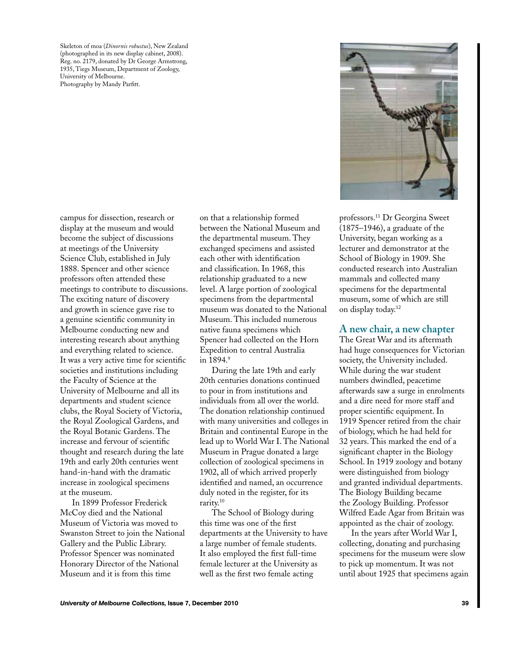Skeleton of moa (*Dinornis robustus*), New Zealand (photographed in its new display cabinet, 2008). Reg. no. 2179, donated by Dr George Armstrong, 1935, Tiegs Museum, Department of Zoology, University of Melbourne. Photography by Mandy Parfitt.

campus for dissection, research or display at the museum and would become the subject of discussions at meetings of the University Science Club, established in July 1888. Spencer and other science professors often attended these meetings to contribute to discussions. The exciting nature of discovery and growth in science gave rise to a genuine scientific community in Melbourne conducting new and interesting research about anything and everything related to science. It was a very active time for scientific societies and institutions including the Faculty of Science at the University of Melbourne and all its departments and student science clubs, the Royal Society of Victoria, the Royal Zoological Gardens, and the Royal Botanic Gardens. The increase and fervour of scientific thought and research during the late 19th and early 20th centuries went hand-in-hand with the dramatic increase in zoological specimens at the museum.

In 1899 Professor Frederick McCoy died and the National Museum of Victoria was moved to Swanston Street to join the National Gallery and the Public Library. Professor Spencer was nominated Honorary Director of the National Museum and it is from this time

on that a relationship formed between the National Museum and the departmental museum. They exchanged specimens and assisted each other with identification and classification. In 1968, this relationship graduated to a new level. A large portion of zoological specimens from the departmental museum was donated to the National Museum. This included numerous native fauna specimens which Spencer had collected on the Horn Expedition to central Australia in 1894.9

During the late 19th and early 20th centuries donations continued to pour in from institutions and individuals from all over the world. The donation relationship continued with many universities and colleges in Britain and continental Europe in the lead up to World War I. The National Museum in Prague donated a large collection of zoological specimens in 1902, all of which arrived properly identified and named, an occurrence duly noted in the register, for its rarity.10

The School of Biology during this time was one of the first departments at the University to have a large number of female students. It also employed the first full-time female lecturer at the University as well as the first two female acting



professors.11 Dr Georgina Sweet (1875–1946), a graduate of the University, began working as a lecturer and demonstrator at the School of Biology in 1909. She conducted research into Australian mammals and collected many specimens for the departmental museum, some of which are still on display today.12

## **A new chair, a new chapter**

The Great War and its aftermath had huge consequences for Victorian society, the University included. While during the war student numbers dwindled, peacetime afterwards saw a surge in enrolments and a dire need for more staff and proper scientific equipment. In 1919 Spencer retired from the chair of biology, which he had held for 32 years. This marked the end of a significant chapter in the Biology School. In 1919 zoology and botany were distinguished from biology and granted individual departments. The Biology Building became the Zoology Building. Professor Wilfred Eade Agar from Britain was appointed as the chair of zoology.

In the years after World War I, collecting, donating and purchasing specimens for the museum were slow to pick up momentum. It was not until about 1925 that specimens again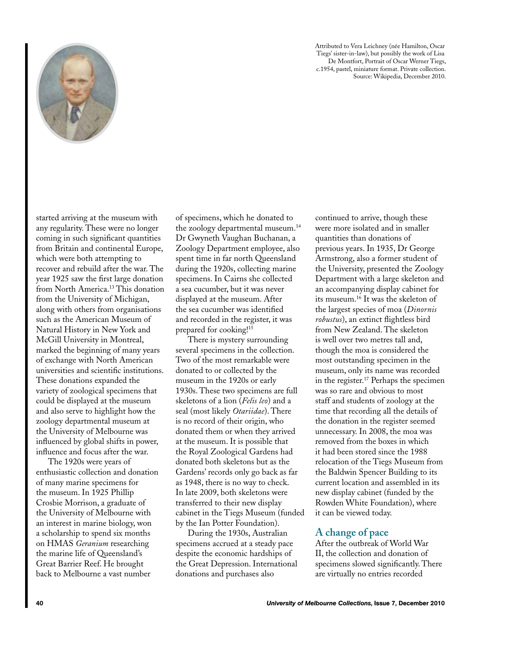

Attributed to Vera Leichney (née Hamilton, Oscar Tiegs' sister-in-law), but possibly the work of Lisa De Montfort, Portrait of Oscar Werner Tiegs, c.1954, pastel, miniature format. Private collection. Source: Wikipedia, December 2010.

started arriving at the museum with any regularity. These were no longer coming in such significant quantities from Britain and continental Europe, which were both attempting to recover and rebuild after the war. The year 1925 saw the first large donation from North America.13 This donation from the University of Michigan, along with others from organisations such as the American Museum of Natural History in New York and McGill University in Montreal, marked the beginning of many years of exchange with North American universities and scientific institutions. These donations expanded the variety of zoological specimens that could be displayed at the museum and also serve to highlight how the zoology departmental museum at the University of Melbourne was influenced by global shifts in power, influence and focus after the war.

The 1920s were years of enthusiastic collection and donation of many marine specimens for the museum. In 1925 Phillip Crosbie Morrison, a graduate of the University of Melbourne with an interest in marine biology, won a scholarship to spend six months on HMAS *Geranium* researching the marine life of Queensland's Great Barrier Reef. He brought back to Melbourne a vast number

of specimens, which he donated to the zoology departmental museum.<sup>14</sup> Dr Gwyneth Vaughan Buchanan, a Zoology Department employee, also spent time in far north Queensland during the 1920s, collecting marine specimens. In Cairns she collected a sea cucumber, but it was never displayed at the museum. After the sea cucumber was identified and recorded in the register, it was prepared for cooking!15

There is mystery surrounding several specimens in the collection. Two of the most remarkable were donated to or collected by the museum in the 1920s or early 1930s. These two specimens are full skeletons of a lion (*Felis leo*) and a seal (most likely *Otariidae*). There is no record of their origin, who donated them or when they arrived at the museum. It is possible that the Royal Zoological Gardens had donated both skeletons but as the Gardens' records only go back as far as 1948, there is no way to check. In late 2009, both skeletons were transferred to their new display cabinet in the Tiegs Museum (funded by the Ian Potter Foundation).

During the 1930s, Australian specimens accrued at a steady pace despite the economic hardships of the Great Depression. International donations and purchases also

continued to arrive, though these were more isolated and in smaller quantities than donations of previous years. In 1935, Dr George Armstrong, also a former student of the University, presented the Zoology Department with a large skeleton and an accompanying display cabinet for its museum.16 It was the skeleton of the largest species of moa (*Dinornis robustus*), an extinct flightless bird from New Zealand. The skeleton is well over two metres tall and, though the moa is considered the most outstanding specimen in the museum, only its name was recorded in the register.17 Perhaps the specimen was so rare and obvious to most staff and students of zoology at the time that recording all the details of the donation in the register seemed unnecessary. In 2008, the moa was removed from the boxes in which it had been stored since the 1988 relocation of the Tiegs Museum from the Baldwin Spencer Building to its current location and assembled in its new display cabinet (funded by the Rowden White Foundation), where it can be viewed today.

# **A change of pace**

After the outbreak of World War II, the collection and donation of specimens slowed significantly. There are virtually no entries recorded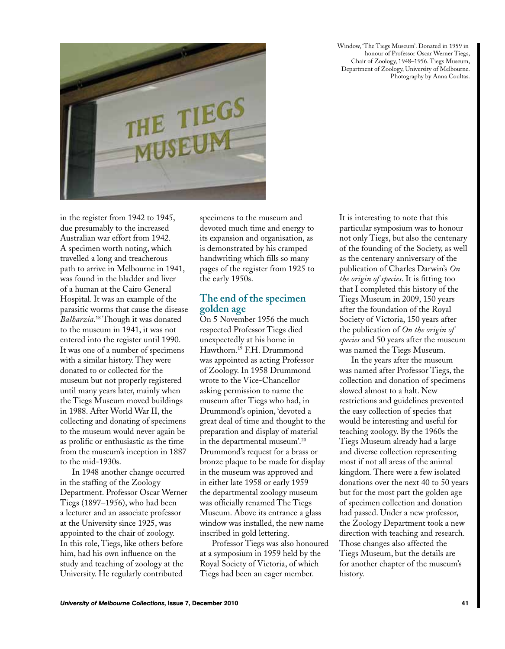Window, 'The Tiegs Museum'. Donated in 1959 in honour of Professor Oscar Werner Tiegs, Chair of Zoology, 1948–1956. Tiegs Museum, Department of Zoology, University of Melbourne. Photography by Anna Coultas.



in the register from 1942 to 1945, due presumably to the increased Australian war effort from 1942. A specimen worth noting, which travelled a long and treacherous path to arrive in Melbourne in 1941, was found in the bladder and liver of a human at the Cairo General Hospital. It was an example of the parasitic worms that cause the disease *Balharzia*. 18 Though it was donated to the museum in 1941, it was not entered into the register until 1990. It was one of a number of specimens with a similar history. They were donated to or collected for the museum but not properly registered until many years later, mainly when the Tiegs Museum moved buildings in 1988. After World War II, the collecting and donating of specimens to the museum would never again be as prolific or enthusiastic as the time from the museum's inception in 1887 to the mid-1930s.

In 1948 another change occurred in the staffing of the Zoology Department. Professor Oscar Werner Tiegs (1897–1956), who had been a lecturer and an associate professor at the University since 1925, was appointed to the chair of zoology. In this role, Tiegs, like others before him, had his own influence on the study and teaching of zoology at the University. He regularly contributed

specimens to the museum and devoted much time and energy to its expansion and organisation, as is demonstrated by his cramped handwriting which fills so many pages of the register from 1925 to the early 1950s.

# **The end of the specimen golden age**

On 5 November 1956 the much respected Professor Tiegs died unexpectedly at his home in Hawthorn.19 F.H. Drummond was appointed as acting Professor of Zoology. In 1958 Drummond wrote to the Vice-Chancellor asking permission to name the museum after Tiegs who had, in Drummond's opinion, 'devoted a great deal of time and thought to the preparation and display of material in the departmental museum'.20 Drummond's request for a brass or bronze plaque to be made for display in the museum was approved and in either late 1958 or early 1959 the departmental zoology museum was officially renamed The Tiegs Museum. Above its entrance a glass window was installed, the new name inscribed in gold lettering.

Professor Tiegs was also honoured at a symposium in 1959 held by the Royal Society of Victoria, of which Tiegs had been an eager member.

It is interesting to note that this particular symposium was to honour not only Tiegs, but also the centenary of the founding of the Society, as well as the centenary anniversary of the publication of Charles Darwin's *On the origin of species*. It is fitting too that I completed this history of the Tiegs Museum in 2009, 150 years after the foundation of the Royal Society of Victoria, 150 years after the publication of *On the origin of species* and 50 years after the museum was named the Tiegs Museum.

In the years after the museum was named after Professor Tiegs, the collection and donation of specimens slowed almost to a halt. New restrictions and guidelines prevented the easy collection of species that would be interesting and useful for teaching zoology. By the 1960s the Tiegs Museum already had a large and diverse collection representing most if not all areas of the animal kingdom. There were a few isolated donations over the next 40 to 50 years but for the most part the golden age of specimen collection and donation had passed. Under a new professor, the Zoology Department took a new direction with teaching and research. Those changes also affected the Tiegs Museum, but the details are for another chapter of the museum's history.